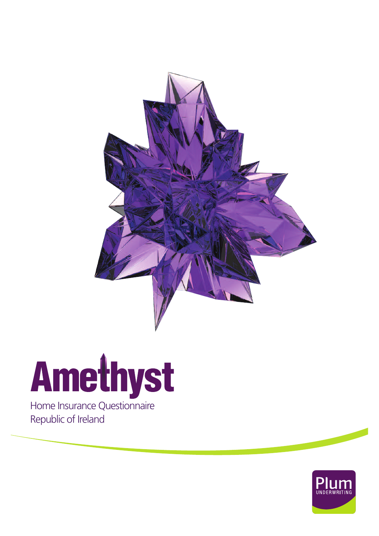

## Amethyst

Republic of Ireland

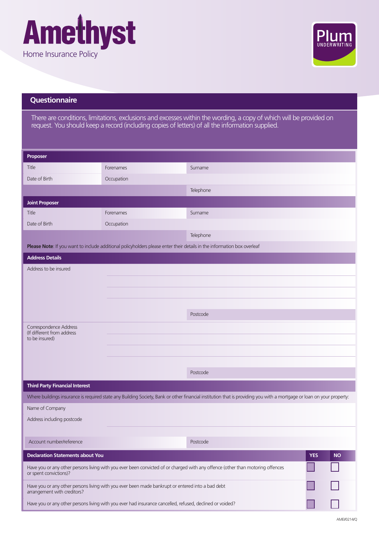



## **Questionnaire**

There are conditions, limitations, exclusions and excesses within the wording, a copy of which will be provided on request. You should keep a record (including copies of letters) of all the information supplied.

| Proposer                                                                                                                                                 |                                                                                                                         |                                                                                                                                                                       |  |  |
|----------------------------------------------------------------------------------------------------------------------------------------------------------|-------------------------------------------------------------------------------------------------------------------------|-----------------------------------------------------------------------------------------------------------------------------------------------------------------------|--|--|
|                                                                                                                                                          |                                                                                                                         |                                                                                                                                                                       |  |  |
| Title                                                                                                                                                    | Forenames                                                                                                               | Surname                                                                                                                                                               |  |  |
| Date of Birth                                                                                                                                            | Occupation                                                                                                              |                                                                                                                                                                       |  |  |
|                                                                                                                                                          |                                                                                                                         | Telephone                                                                                                                                                             |  |  |
| <b>Joint Proposer</b>                                                                                                                                    |                                                                                                                         |                                                                                                                                                                       |  |  |
| Title                                                                                                                                                    | Forenames                                                                                                               | Surname                                                                                                                                                               |  |  |
| Date of Birth                                                                                                                                            | Occupation                                                                                                              |                                                                                                                                                                       |  |  |
|                                                                                                                                                          |                                                                                                                         | Telephone                                                                                                                                                             |  |  |
|                                                                                                                                                          | Please Note: If you want to include additional policyholders please enter their details in the information box overleaf |                                                                                                                                                                       |  |  |
| <b>Address Details</b>                                                                                                                                   |                                                                                                                         |                                                                                                                                                                       |  |  |
| Address to be insured                                                                                                                                    |                                                                                                                         |                                                                                                                                                                       |  |  |
|                                                                                                                                                          |                                                                                                                         |                                                                                                                                                                       |  |  |
|                                                                                                                                                          |                                                                                                                         |                                                                                                                                                                       |  |  |
|                                                                                                                                                          |                                                                                                                         |                                                                                                                                                                       |  |  |
|                                                                                                                                                          |                                                                                                                         | Postcode                                                                                                                                                              |  |  |
|                                                                                                                                                          |                                                                                                                         |                                                                                                                                                                       |  |  |
| Correspondence Address<br>(If different from address                                                                                                     |                                                                                                                         |                                                                                                                                                                       |  |  |
| to be insured)                                                                                                                                           |                                                                                                                         |                                                                                                                                                                       |  |  |
|                                                                                                                                                          |                                                                                                                         |                                                                                                                                                                       |  |  |
|                                                                                                                                                          |                                                                                                                         |                                                                                                                                                                       |  |  |
|                                                                                                                                                          |                                                                                                                         | Postcode                                                                                                                                                              |  |  |
| <b>Third Party Financial Interest</b>                                                                                                                    |                                                                                                                         |                                                                                                                                                                       |  |  |
|                                                                                                                                                          |                                                                                                                         | Where buildings insurance is required state any Building Society, Bank or other financial institution that is providing you with a mortgage or loan on your property: |  |  |
| Name of Company                                                                                                                                          |                                                                                                                         |                                                                                                                                                                       |  |  |
| Address including postcode                                                                                                                               |                                                                                                                         |                                                                                                                                                                       |  |  |
|                                                                                                                                                          |                                                                                                                         |                                                                                                                                                                       |  |  |
| Account number/reference                                                                                                                                 |                                                                                                                         | Postcode                                                                                                                                                              |  |  |
| <b>Declaration Statements about You</b>                                                                                                                  |                                                                                                                         | <b>YES</b><br><b>NO</b>                                                                                                                                               |  |  |
| Have you or any other persons living with you ever been convicted of or charged with any offence (other than motoring offences<br>or spent convictions)? |                                                                                                                         |                                                                                                                                                                       |  |  |
| Have you or any other persons living with you ever been made bankrupt or entered into a bad debt<br>arrangement with creditors?                          |                                                                                                                         |                                                                                                                                                                       |  |  |
| Have you or any other persons living with you ever had insurance cancelled, refused, declined or voided?                                                 |                                                                                                                         |                                                                                                                                                                       |  |  |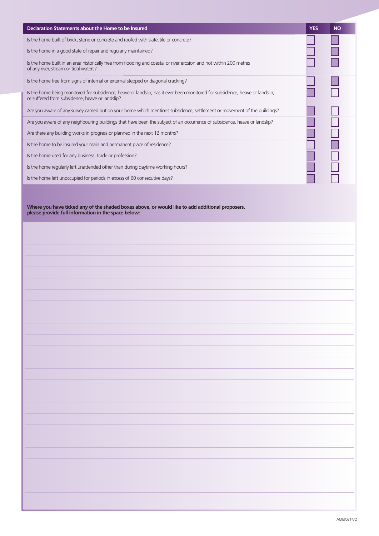| Declaration Statements about the Home to be Insured                                                                                                                             | <b>YES</b> | <b>NO</b> |
|---------------------------------------------------------------------------------------------------------------------------------------------------------------------------------|------------|-----------|
| Is the home built of brick, stone or concrete and roofed with slate, tile or concrete?                                                                                          |            |           |
| Is the home in a good state of repair and regularly maintained?                                                                                                                 |            |           |
| Is the home built in an area historically free from flooding and coastal or river erosion and not within 200 metres<br>of any river, stream or tidal waters?                    |            |           |
| Is the home free from signs of internal or external stepped or diagonal cracking?                                                                                               |            |           |
| Is the home being monitored for subsidence, heave or landslip; has it ever been monitored for subsidence, heave or landslip,<br>or suffered from subsidence, heave or landslip? |            |           |
| Are you aware of any survey carried out on your home which mentions subsidence, settlement or movement of the buildings?                                                        |            |           |
| Are you aware of any neighbouring buildings that have been the subject of an occurrence of subsidence, heave or landslip?                                                       |            |           |
| Are there any building works in progress or planned in the next 12 months?                                                                                                      |            |           |
| Is the home to be insured your main and permanent place of residence?                                                                                                           |            |           |
| Is the home used for any business, trade or profession?                                                                                                                         |            |           |
| Is the home regularly left unattended other than during daytime working hours?                                                                                                  |            |           |
| Is the home left unoccupied for periods in excess of 60 consecutive days?                                                                                                       |            |           |

**Where you have ticked any of the shaded boxes above, or would like to add additional proposers, please provide full information in the space below:**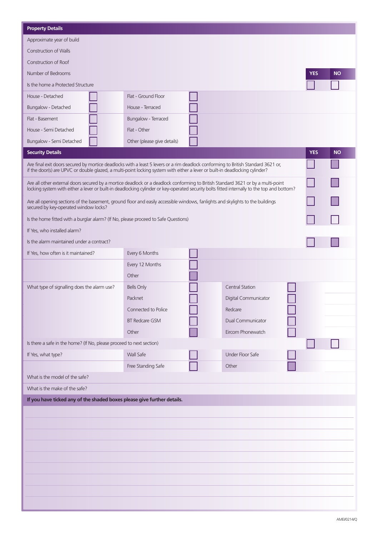| <b>Property Details</b>                                                                                                                                                                                                                                                         |                             |  |                          |            |           |
|---------------------------------------------------------------------------------------------------------------------------------------------------------------------------------------------------------------------------------------------------------------------------------|-----------------------------|--|--------------------------|------------|-----------|
| Approximate year of build                                                                                                                                                                                                                                                       |                             |  |                          |            |           |
| <b>Construction of Walls</b>                                                                                                                                                                                                                                                    |                             |  |                          |            |           |
| Construction of Roof                                                                                                                                                                                                                                                            |                             |  |                          |            |           |
| Number of Bedrooms                                                                                                                                                                                                                                                              |                             |  |                          | <b>YES</b> | <b>NO</b> |
| Is the home a Protected Structure                                                                                                                                                                                                                                               |                             |  |                          |            |           |
| House - Detached                                                                                                                                                                                                                                                                | Flat - Ground Floor         |  |                          |            |           |
| Bungalow - Detached                                                                                                                                                                                                                                                             | House - Terraced            |  |                          |            |           |
| Flat - Basement                                                                                                                                                                                                                                                                 | Bungalow - Terraced         |  |                          |            |           |
| House - Semi Detached                                                                                                                                                                                                                                                           | Flat - Other                |  |                          |            |           |
| Bungalow - Semi Detached                                                                                                                                                                                                                                                        | Other (please give details) |  |                          |            |           |
| <b>Security Details</b>                                                                                                                                                                                                                                                         |                             |  |                          | <b>YES</b> | <b>NO</b> |
| Are final exit doors secured by mortice deadlocks with a least 5 levers or a rim deadlock conforming to British Standard 3621 or,<br>if the door(s) are UPVC or double glazed, a multi-point locking system with either a lever or built-in deadlocking cylinder?               |                             |  |                          |            |           |
| Are all other external doors secured by a mortice deadlock or a deadlock conforming to British Standard 3621 or by a multi-point<br>locking system with either a lever or built-in deadlocking cylinder or key-operated security bolts fitted internally to the top and bottom? |                             |  |                          |            |           |
| Are all opening sections of the basement, ground floor and easily accessible windows, fanlights and skylights to the buildings<br>secured by key-operated window locks?                                                                                                         |                             |  |                          |            |           |
| Is the home fitted with a burglar alarm? (If No, please proceed to Safe Questions)                                                                                                                                                                                              |                             |  |                          |            |           |
| If Yes, who installed alarm?                                                                                                                                                                                                                                                    |                             |  |                          |            |           |
| Is the alarm maintained under a contract?                                                                                                                                                                                                                                       |                             |  |                          |            |           |
| If Yes, how often is it maintained?                                                                                                                                                                                                                                             | Every 6 Months              |  |                          |            |           |
|                                                                                                                                                                                                                                                                                 | Every 12 Months             |  |                          |            |           |
|                                                                                                                                                                                                                                                                                 | Other                       |  |                          |            |           |
| What type of signalling does the alarm use?                                                                                                                                                                                                                                     | <b>Bells Only</b>           |  | <b>Central Station</b>   |            |           |
|                                                                                                                                                                                                                                                                                 | Packnet                     |  | Digital Communicator     |            |           |
|                                                                                                                                                                                                                                                                                 | Connected to Police         |  | Redcare                  |            |           |
|                                                                                                                                                                                                                                                                                 | <b>BT Redcare GSM</b>       |  | <b>Dual Communicator</b> |            |           |
|                                                                                                                                                                                                                                                                                 | Other                       |  | Eircom Phonewatch        |            |           |
| Is there a safe in the home? (If No, please proceed to next section)                                                                                                                                                                                                            |                             |  |                          |            |           |
| If Yes, what type?                                                                                                                                                                                                                                                              | Wall Safe                   |  | <b>Under Floor Safe</b>  |            |           |
|                                                                                                                                                                                                                                                                                 | Free Standing Safe          |  | Other                    |            |           |
| What is the model of the safe?                                                                                                                                                                                                                                                  |                             |  |                          |            |           |
| What is the make of the safe?                                                                                                                                                                                                                                                   |                             |  |                          |            |           |
| If you have ticked any of the shaded boxes please give further details.                                                                                                                                                                                                         |                             |  |                          |            |           |
|                                                                                                                                                                                                                                                                                 |                             |  |                          |            |           |
|                                                                                                                                                                                                                                                                                 |                             |  |                          |            |           |
|                                                                                                                                                                                                                                                                                 |                             |  |                          |            |           |
|                                                                                                                                                                                                                                                                                 |                             |  |                          |            |           |
|                                                                                                                                                                                                                                                                                 |                             |  |                          |            |           |
|                                                                                                                                                                                                                                                                                 |                             |  |                          |            |           |
|                                                                                                                                                                                                                                                                                 |                             |  |                          |            |           |
|                                                                                                                                                                                                                                                                                 |                             |  |                          |            |           |
|                                                                                                                                                                                                                                                                                 |                             |  |                          |            |           |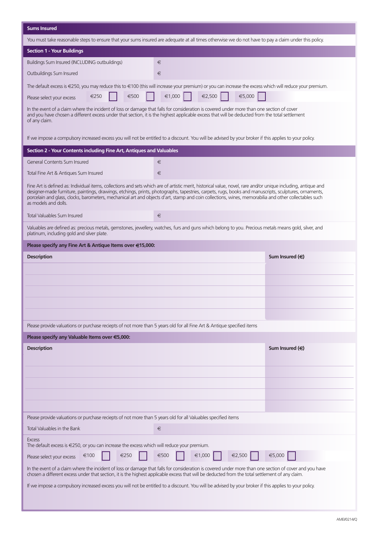| <b>Sums Insured</b>                                                                                                                                                                                                                                                                                                                                                                                                                                                                                      |                                                                                                                                                          |  |  |  |
|----------------------------------------------------------------------------------------------------------------------------------------------------------------------------------------------------------------------------------------------------------------------------------------------------------------------------------------------------------------------------------------------------------------------------------------------------------------------------------------------------------|----------------------------------------------------------------------------------------------------------------------------------------------------------|--|--|--|
| You must take reasonable steps to ensure that your sums insured are adequate at all times otherwise we do not have to pay a claim under this policy.                                                                                                                                                                                                                                                                                                                                                     |                                                                                                                                                          |  |  |  |
| <b>Section 1 - Your Buildings</b>                                                                                                                                                                                                                                                                                                                                                                                                                                                                        |                                                                                                                                                          |  |  |  |
| Buildings Sum Insured (INCLUDING outbuildings)                                                                                                                                                                                                                                                                                                                                                                                                                                                           | €                                                                                                                                                        |  |  |  |
| Outbuildings Sum Insured                                                                                                                                                                                                                                                                                                                                                                                                                                                                                 | €                                                                                                                                                        |  |  |  |
|                                                                                                                                                                                                                                                                                                                                                                                                                                                                                                          | The default excess is €250, you may reduce this to €100 (this will increase your premium) or you can increase the excess which will reduce your premium. |  |  |  |
| €500<br>€250<br>Please select your excess                                                                                                                                                                                                                                                                                                                                                                                                                                                                | €1,000<br>€2,500<br>€5,000                                                                                                                               |  |  |  |
| In the event of a claim where the incident of loss or damage that falls for consideration is covered under more than one section of cover<br>and you have chosen a different excess under that section, it is the highest applicable excess that will be deducted from the total settlement<br>of any claim.                                                                                                                                                                                             |                                                                                                                                                          |  |  |  |
|                                                                                                                                                                                                                                                                                                                                                                                                                                                                                                          | If we impose a compulsory increased excess you will not be entitled to a discount. You will be advised by your broker if this applies to your policy.    |  |  |  |
| Section 2 - Your Contents including Fine Art, Antiques and Valuables                                                                                                                                                                                                                                                                                                                                                                                                                                     |                                                                                                                                                          |  |  |  |
| General Contents Sum Insured                                                                                                                                                                                                                                                                                                                                                                                                                                                                             | €                                                                                                                                                        |  |  |  |
| Total Fine Art & Antiques Sum Insured                                                                                                                                                                                                                                                                                                                                                                                                                                                                    | €                                                                                                                                                        |  |  |  |
| Fine Art is defined as: Individual items, collections and sets which are of artistic merit, historical value, novel, rare and/or unique including, antique and<br>designer-made furniture, paintings, drawings, etchings, prints, photographs, tapestries, carpets, rugs, books and manuscripts, sculptures, ornaments,<br>porcelain and glass, clocks, barometers, mechanical art and objects d'art, stamp and coin collections, wines, memorabilia and other collectables such<br>as models and dolls. |                                                                                                                                                          |  |  |  |
| <b>Total Valuables Sum Insured</b>                                                                                                                                                                                                                                                                                                                                                                                                                                                                       | €                                                                                                                                                        |  |  |  |
| platinum, including gold and silver plate.                                                                                                                                                                                                                                                                                                                                                                                                                                                               | Valuables are defined as: precious metals, gemstones, jewellery, watches, furs and guns which belong to you. Precious metals means gold, silver, and     |  |  |  |
| Please specify any Fine Art & Antique Items over €15,000:                                                                                                                                                                                                                                                                                                                                                                                                                                                |                                                                                                                                                          |  |  |  |
| <b>Description</b>                                                                                                                                                                                                                                                                                                                                                                                                                                                                                       | Sum Insured $(\in)$                                                                                                                                      |  |  |  |
|                                                                                                                                                                                                                                                                                                                                                                                                                                                                                                          |                                                                                                                                                          |  |  |  |
|                                                                                                                                                                                                                                                                                                                                                                                                                                                                                                          |                                                                                                                                                          |  |  |  |
|                                                                                                                                                                                                                                                                                                                                                                                                                                                                                                          |                                                                                                                                                          |  |  |  |
|                                                                                                                                                                                                                                                                                                                                                                                                                                                                                                          |                                                                                                                                                          |  |  |  |
|                                                                                                                                                                                                                                                                                                                                                                                                                                                                                                          |                                                                                                                                                          |  |  |  |
| Please provide valuations or purchase reciepts of not more than 5 years old for all Fine Art & Antique specified items                                                                                                                                                                                                                                                                                                                                                                                   |                                                                                                                                                          |  |  |  |
| Please specify any Valuable Items over €5,000:                                                                                                                                                                                                                                                                                                                                                                                                                                                           |                                                                                                                                                          |  |  |  |
| <b>Description</b>                                                                                                                                                                                                                                                                                                                                                                                                                                                                                       | Sum Insured $(\in)$                                                                                                                                      |  |  |  |
|                                                                                                                                                                                                                                                                                                                                                                                                                                                                                                          |                                                                                                                                                          |  |  |  |
|                                                                                                                                                                                                                                                                                                                                                                                                                                                                                                          |                                                                                                                                                          |  |  |  |
|                                                                                                                                                                                                                                                                                                                                                                                                                                                                                                          |                                                                                                                                                          |  |  |  |
|                                                                                                                                                                                                                                                                                                                                                                                                                                                                                                          |                                                                                                                                                          |  |  |  |
| Please provide valuations or purchase reciepts of not more than 5 years old for all Valuables specified items                                                                                                                                                                                                                                                                                                                                                                                            |                                                                                                                                                          |  |  |  |
| Total Valuables in the Bank                                                                                                                                                                                                                                                                                                                                                                                                                                                                              | €                                                                                                                                                        |  |  |  |
| <b>Excess</b><br>The default excess is $\in$ 250, or you can increase the excess which will reduce your premium.                                                                                                                                                                                                                                                                                                                                                                                         |                                                                                                                                                          |  |  |  |
| €100<br>€250<br>Please select your excess                                                                                                                                                                                                                                                                                                                                                                                                                                                                | €500<br>€1,000<br>€2,500<br>€5,000                                                                                                                       |  |  |  |
| In the event of a claim where the incident of loss or damage that falls for consideration is covered under more than one section of cover and you have<br>chosen a different excess under that section, it is the highest applicable excess that will be deducted from the total settlement of any claim.                                                                                                                                                                                                |                                                                                                                                                          |  |  |  |
| If we impose a compulsory increased excess you will not be entitled to a discount. You will be advised by your broker if this applies to your policy.                                                                                                                                                                                                                                                                                                                                                    |                                                                                                                                                          |  |  |  |